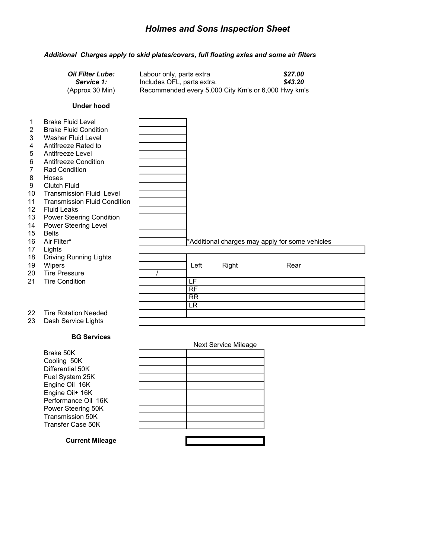## *Holmes and Sons Inspection Sheet*

### *Additional Charges apply to skid plates/covers, full floating axles and some air filters*

| <b>Oil Filter Lube:</b> | Labour only, parts extra                            | \$27.00 |
|-------------------------|-----------------------------------------------------|---------|
| <b>Service 1:</b>       | Includes OFL, parts extra.                          | \$43.20 |
| (Approx 30 Min)         | Recommended every 5,000 City Km's or 6,000 Hwy km's |         |

#### **Under hood**

|                 | <b>Brake Fluid Level</b>            |                          |       |                                                 |  |
|-----------------|-------------------------------------|--------------------------|-------|-------------------------------------------------|--|
| $\overline{2}$  | <b>Brake Fluid Condition</b>        |                          |       |                                                 |  |
| 3               | Washer Fluid Level                  |                          |       |                                                 |  |
| 4               | Antifreeze Rated to                 |                          |       |                                                 |  |
| 5               | Antifreeze Level                    |                          |       |                                                 |  |
| 6               | Antifreeze Condition                |                          |       |                                                 |  |
| 7               | <b>Rad Condition</b>                |                          |       |                                                 |  |
| 8               | Hoses                               |                          |       |                                                 |  |
| 9               | <b>Clutch Fluid</b>                 |                          |       |                                                 |  |
| 10              | <b>Transmission Fluid Level</b>     |                          |       |                                                 |  |
| 11              | <b>Transmission Fluid Condition</b> |                          |       |                                                 |  |
| 12 <sup>2</sup> | <b>Fluid Leaks</b>                  |                          |       |                                                 |  |
| 13              | <b>Power Steering Condition</b>     |                          |       |                                                 |  |
| 14              | Power Steering Level                |                          |       |                                                 |  |
| 15              | <b>Belts</b>                        |                          |       |                                                 |  |
| 16              | Air Filter*                         |                          |       | *Additional charges may apply for some vehicles |  |
| 17              | Lights                              |                          |       |                                                 |  |
| 18              | <b>Driving Running Lights</b>       |                          |       |                                                 |  |
| 19              | Wipers                              | Left                     | Right | Rear                                            |  |
| 20              | <b>Tire Pressure</b>                |                          |       |                                                 |  |
| 21              | <b>Tire Condition</b>               | LF                       |       |                                                 |  |
|                 |                                     | $\overline{RF}$          |       |                                                 |  |
|                 |                                     | $\overline{\mathsf{RR}}$ |       |                                                 |  |
|                 |                                     | $\overline{\mathsf{LR}}$ |       |                                                 |  |
| 22              | <b>Tire Rotation Needed</b>         |                          |       |                                                 |  |
| 23              | Dash Service Lights                 |                          |       |                                                 |  |

#### **BG Services**

Brake 50K Cooling 50K Differential 50K Fuel System 25K Engine Oil 16K Engine Oil+ 16K Performance Oil 16K Power Steering 50K Transmission 50K Transfer Case 50K

| Next Service Mileage |
|----------------------|
|                      |
|                      |
|                      |
|                      |
|                      |
|                      |
|                      |
|                      |
|                      |
|                      |
|                      |

H

### **Current Mileage**